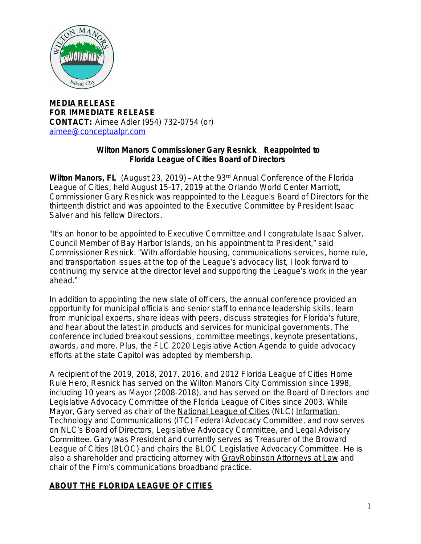

**MEDIA RELEASE FOR IMMEDIATE RELEASE CONTACT:** Aimee Adler (954) 732-0754 (or) [aimee@conceptualpr.com](mailto:aimee@conceptualpr.com)

## **Wilton Manors Commissioner Gary Resnick Reappointed to Florida League of Cities Board of Directors**

**Wilton Manors, FL** (August 23, 2019) - At the 93<sup>rd</sup> Annual Conference of the Florida League of Cities, held August 15-17, 2019 at the Orlando World Center Marriott, Commissioner Gary Resnick was reappointed to the League's Board of Directors for the thirteenth district and was appointed to the Executive Committee by President Isaac Salver and his fellow Directors.

"It's an honor to be appointed to Executive Committee and I congratulate Isaac Salver, Council Member of Bay Harbor Islands, on his appointment to President," said Commissioner Resnick. "With affordable housing, communications services, home rule, and transportation issues at the top of the League's advocacy list, I look forward to continuing my service at the director level and supporting the League's work in the year ahead."

In addition to appointing the new slate of officers, the annual conference provided an opportunity for municipal officials and senior staff to enhance leadership skills, learn from municipal experts, share ideas with peers, discuss strategies for Florida's future, and hear about the latest in products and services for municipal governments. The conference included breakout sessions, committee meetings, keynote presentations, awards, and more. Plus, the FLC 2020 Legislative Action Agenda to guide advocacy efforts at the state Capitol was adopted by membership.

A recipient of the 2019, 2018, 2017, 2016, and 2012 Florida League of Cities Home Rule Hero, Resnick has served on the Wilton Manors City Commission since 1998, including 10 years as Mayor (2008-2018), and has served on the Board of Directors and Legislative Advocacy Committee of the Florida League of Cities since 2003. While Mayor, Gary served as chair of the [National League of Cities](http://www.nlc.org/) (NLC) Information Technology and Communications (ITC) Federal Advocacy Committee, and now serves on NLC's Board of Directors, Legislative Advocacy Committee, and Legal Advisory Committee. Gary was President and currently serves as Treasurer of the Broward League of Cities (BLOC) and chairs the BLOC Legislative Advocacy Committee. He is also a shareholder and practicing attorney with GrayRobinson Attorneys at Law and [chair of the Firm's communications broadband practice.](http://www.gray-robinson.com/)

## **[ABOUT THE FLORIDA LEAGUE OF CITIES](http://www.gray-robinson.com/)**